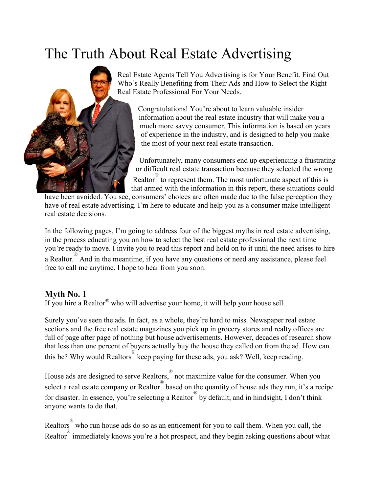# The Truth About Real Estate Advertising



Real Estate Agents Tell You Advertising is for Your Benefit. Find Out Who's Really Benefiting from Their Ads and How to Select the Right Real Estate Professional For Your Needs.

Congratulations! You're about to learn valuable insider information about the real estate industry that will make you a much more savvy consumer. This information is based on years of experience in the industry, and is designed to help you make the most of your next real estate transaction.

Unfortunately, many consumers end up experiencing a frustrating or difficult real estate transaction because they selected the wrong

Realtor to represent them. The most unfortunate aspect of this is that armed with the information in this report, these situations could

have been avoided. You see, consumers' choices are often made due to the false perception they have of real estate advertising. I'm here to educate and help you as a consumer make intelligent real estate decisions.

In the following pages, I'm going to address four of the biggest myths in real estate advertising, in the process educating you on how to select the best real estate professional the next time you're ready to move. I invite you to read this report and hold on to it until the need arises to hire a Realtor. <sup>®</sup> And in the meantime, if you have any questions or need any assistance, please feel free to call me anytime. I hope to hear from you soon.

# **Myth No. 1**

If you hire a Realtor® who will advertise your home, it will help your house sell.

Surely you've seen the ads. In fact, as a whole, they're hard to miss. Newspaper real estate sections and the free real estate magazines you pick up in grocery stores and realty offices are full of page after page of nothing but house advertisements. However, decades of research show that less than one percent of buyers actually buy the house they called on from the ad. How can this be? Why would Realtors ® keep paying for these ads, you ask? Well, keep reading.

House ads are designed to serve Realtors, ® not maximize value for the consumer. When you select a real estate company or Realtor based on the quantity of house ads they run, it's a recipe for disaster. In essence, you're selecting a Realtor<sup>®</sup> by default, and in hindsight, I don't think anyone wants to do that.

Realtors ® who run house ads do so as an enticement for you to call them. When you call, the Realtor immediately knows you're a hot prospect, and they begin asking questions about what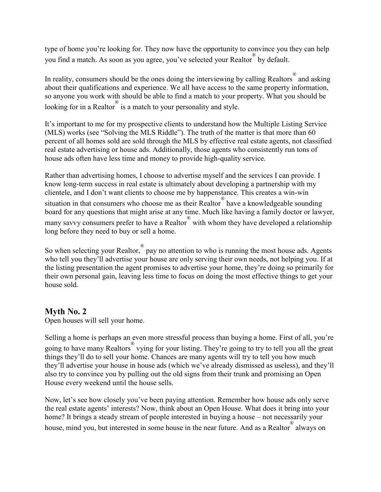type of home you're looking for. They now have the opportunity to convince you they can help you find a match. As soon as you agree, you've selected your Realtor ® by default.

In reality, consumers should be the ones doing the interviewing by calling Realtors  $^{\circledR}$  and asking about their qualifications and experience. We all have access to the same property information, so anyone you work with should be able to find a match to your property. What you should be looking for in a Realtor is a match to your personality and style.

It's important to me for my prospective clients to understand how the Multiple Listing Service (MLS) works (see "Solving the MLS Riddle"). The truth of the matter is that more than 60 percent of all homes sold are sold through the MLS by effective real estate agents, not classified real estate advertising or house ads. Additionally, those agents who consistently run tons of house ads often have less time and money to provide high-quality service.

Rather than advertising homes, I choose to advertise myself and the services I can provide. I know long-term success in real estate is ultimately about developing a partnership with my clientele, and I don't want clients to choose me by happenstance. This creates a win-win situation in that consumers who choose me as their Realtor have a knowledgeable sounding board for any questions that might arise at any time. Much like having a family doctor or lawyer, many savvy consumers prefer to have a Realtor<sup>®</sup> with whom they have developed a relationship long before they need to buy or sell a home.

So when selecting your Realtor, pay no attention to who is running the most house ads. Agents who tell you they'll advertise your house are only serving their own needs, not helping you. If at the listing presentation the agent promises to advertise your home, they're doing so primarily for their own personal gain, leaving less time to focus on doing the most effective things to get your house sold.

## **Myth No. 2**

Open houses will sell your home.

Selling a home is perhaps an even more stressful process than buying a home. First of all, you're going to have many Realtors<sup>®</sup> vying for your listing. They're going to try to tell you all the great things they'll do to sell your home. Chances are many agents will try to tell you how much they'll advertise your house in house ads (which we've already dismissed as useless), and they'll also try to convince you by pulling out the old signs from their trunk and promising an Open House every weekend until the house sells.

Now, let's see how closely you've been paying attention. Remember how house ads only serve the real estate agents' interests? Now, think about an Open House. What does it bring into your home? It brings a steady stream of people interested in buying a house – not necessarily your house, mind you, but interested in some house in the near future. And as a Realtor always on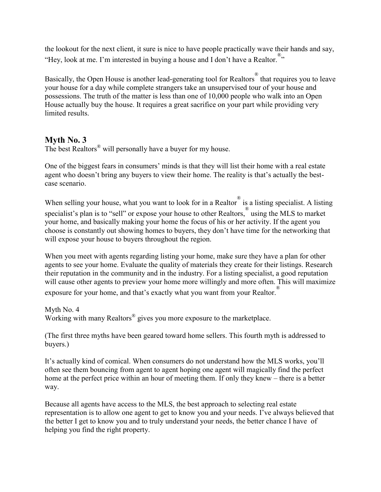the lookout for the next client, it sure is nice to have people practically wave their hands and say, "Hey, look at me. I'm interested in buying a house and I don't have a Realtor.<sup>®</sup>"

Basically, the Open House is another lead-generating tool for Realtors ® that requires you to leave your house for a day while complete strangers take an unsupervised tour of your house and possessions. The truth of the matter is less than one of 10,000 people who walk into an Open House actually buy the house. It requires a great sacrifice on your part while providing very limited results.

## **Myth No. 3**

The best Realtors® will personally have a buyer for my house.

One of the biggest fears in consumers' minds is that they will list their home with a real estate agent who doesn't bring any buyers to view their home. The reality is that's actually the bestcase scenario.

When selling your house, what you want to look for in a Realtor  $\degree$  is a listing specialist. A listing specialist's plan is to "sell" or expose your house to other Realtors, using the MLS to market your home, and basically making your home the focus of his or her activity. If the agent you choose is constantly out showing homes to buyers, they don't have time for the networking that will expose your house to buyers throughout the region.

When you meet with agents regarding listing your home, make sure they have a plan for other agents to see your home. Evaluate the quality of materials they create for their listings. Research their reputation in the community and in the industry. For a listing specialist, a good reputation will cause other agents to preview your home more willingly and more often. This will maximize exposure for your home, and that's exactly what you want from your Realtor.

Myth No. 4 Working with many Realtors<sup>®</sup> gives you more exposure to the marketplace.

(The first three myths have been geared toward home sellers. This fourth myth is addressed to buyers.)

It's actually kind of comical. When consumers do not understand how the MLS works, you'll often see them bouncing from agent to agent hoping one agent will magically find the perfect home at the perfect price within an hour of meeting them. If only they knew – there is a better way.

Because all agents have access to the MLS, the best approach to selecting real estate representation is to allow one agent to get to know you and your needs. I've always believed that the better I get to know you and to truly understand your needs, the better chance I have of helping you find the right property.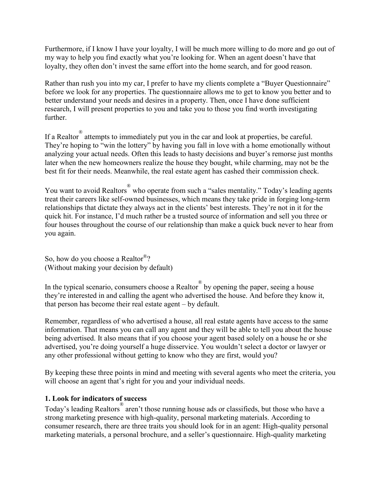Furthermore, if I know I have your loyalty, I will be much more willing to do more and go out of my way to help you find exactly what you're looking for. When an agent doesn't have that loyalty, they often don't invest the same effort into the home search, and for good reason.

Rather than rush you into my car, I prefer to have my clients complete a "Buyer Questionnaire" before we look for any properties. The questionnaire allows me to get to know you better and to better understand your needs and desires in a property. Then, once I have done sufficient research, I will present properties to you and take you to those you find worth investigating further.

If a Realtor ® attempts to immediately put you in the car and look at properties, be careful. They're hoping to "win the lottery" by having you fall in love with a home emotionally without analyzing your actual needs. Often this leads to hasty decisions and buyer's remorse just months later when the new homeowners realize the house they bought, while charming, may not be the best fit for their needs. Meanwhile, the real estate agent has cashed their commission check.

You want to avoid Realtors ® who operate from such a "sales mentality." Today's leading agents treat their careers like self-owned businesses, which means they take pride in forging long-term relationships that dictate they always act in the clients' best interests. They're not in it for the quick hit. For instance, I'd much rather be a trusted source of information and sell you three or four houses throughout the course of our relationship than make a quick buck never to hear from you again.

So, how do you choose a Realtor®? (Without making your decision by default)

In the typical scenario, consumers choose a Realtor ® by opening the paper, seeing a house they're interested in and calling the agent who advertised the house. And before they know it, that person has become their real estate agent – by default.

Remember, regardless of who advertised a house, all real estate agents have access to the same information. That means you can call any agent and they will be able to tell you about the house being advertised. It also means that if you choose your agent based solely on a house he or she advertised, you're doing yourself a huge disservice. You wouldn't select a doctor or lawyer or any other professional without getting to know who they are first, would you?

By keeping these three points in mind and meeting with several agents who meet the criteria, you will choose an agent that's right for you and your individual needs.

## **1. Look for indicators of success**

Today's leading Realtors ® aren't those running house ads or classifieds, but those who have a strong marketing presence with high-quality, personal marketing materials. According to consumer research, there are three traits you should look for in an agent: High-quality personal marketing materials, a personal brochure, and a seller's questionnaire. High-quality marketing